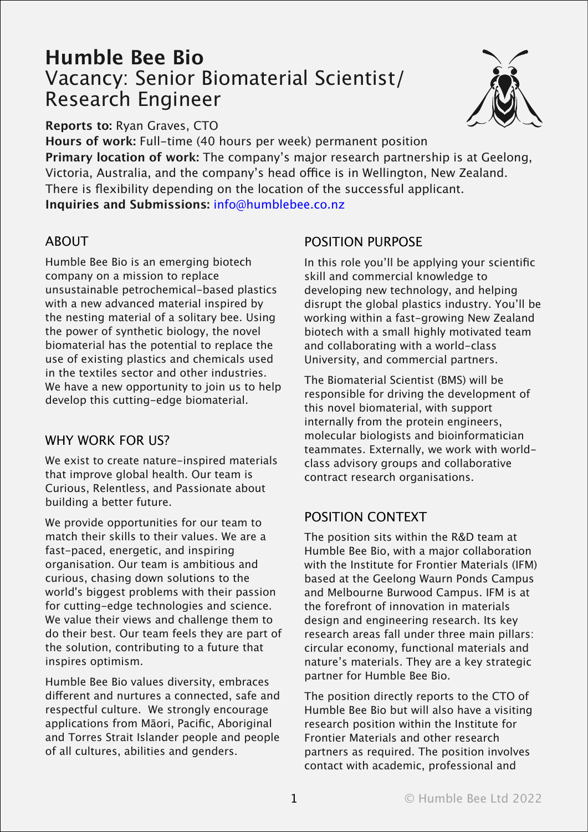# **Humble Bee Bio** Vacancy: Senior Biomaterial Scientist/ Research Engineer



**Reports to:** Ryan Graves, CTO

**Hours of work:** Full-time (40 hours per week) permanent position **Primary location of work:** The company's major research partnership is at Geelong, Victoria, Australia, and the company's head office is in Wellington, New Zealand. There is flexibility depending on the location of the successful applicant. **Inquiries and Submissions:** info@humblebee.co.nz

### ABOUT

Humble Bee Bio is an emerging biotech company on a mission to replace unsustainable petrochemical-based plastics with a new advanced material inspired by the nesting material of a solitary bee. Using the power of synthetic biology, the novel biomaterial has the potential to replace the use of existing plastics and chemicals used in the textiles sector and other industries. We have a new opportunity to join us to help develop this cutting-edge biomaterial.

### WHY WORK FOR US?

We exist to create nature-inspired materials that improve global health. Our team is Curious, Relentless, and Passionate about building a better future.

We provide opportunities for our team to match their skills to their values. We are a fast-paced, energetic, and inspiring organisation. Our team is ambitious and curious, chasing down solutions to the world's biggest problems with their passion for cutting-edge technologies and science. We value their views and challenge them to do their best. Our team feels they are part of the solution, contributing to a future that inspires optimism.

Humble Bee Bio values diversity, embraces different and nurtures a connected, safe and respectful culture. We strongly encourage applications from Māori, Pacific, Aboriginal and Torres Strait Islander people and people of all cultures, abilities and genders.

# POSITION PURPOSE

In this role you'll be applying your scientific skill and commercial knowledge to developing new technology, and helping disrupt the global plastics industry. You'll be working within a fast-growing New Zealand biotech with a small highly motivated team and collaborating with a world-class University, and commercial partners.

The Biomaterial Scientist (BMS) will be responsible for driving the development of this novel biomaterial, with support internally from the protein engineers, molecular biologists and bioinformatician teammates. Externally, we work with worldclass advisory groups and collaborative contract research organisations.

# POSITION CONTEXT

The position sits within the R&D team at Humble Bee Bio, with a major collaboration with the Institute for Frontier Materials (IFM) based at the Geelong Waurn Ponds Campus and Melbourne Burwood Campus. IFM is at the forefront of innovation in materials design and engineering research. Its key research areas fall under three main pillars: circular economy, functional materials and nature's materials. They are a key strategic partner for Humble Bee Bio.

The position directly reports to the CTO of Humble Bee Bio but will also have a visiting research position within the Institute for Frontier Materials and other research partners as required. The position involves contact with academic, professional and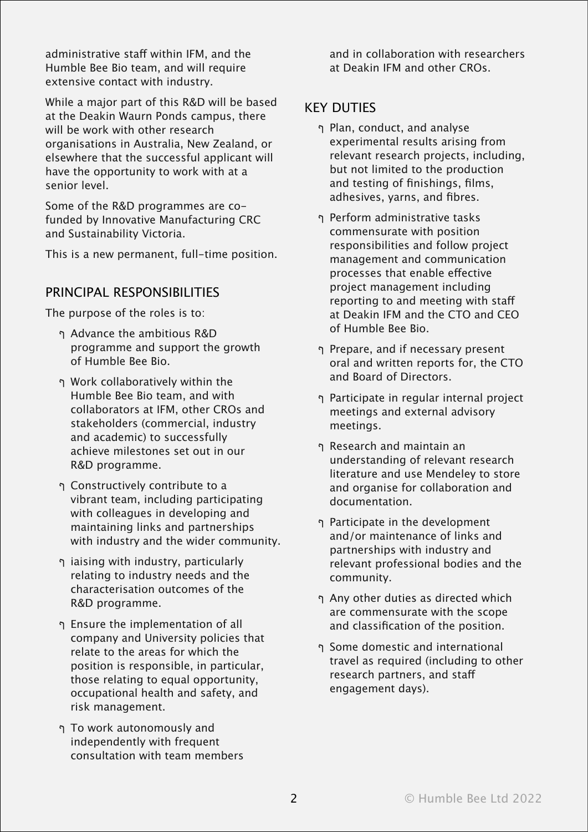administrative staff within IFM, and the Humble Bee Bio team, and will require extensive contact with industry.

While a major part of this R&D will be based at the Deakin Waurn Ponds campus, there will be work with other research organisations in Australia, New Zealand, or elsewhere that the successful applicant will have the opportunity to work with at a senior level.

Some of the R&D programmes are cofunded by Innovative Manufacturing CRC and Sustainability Victoria.

This is a new permanent, full-time position.

#### PRINCIPAL RESPONSIBILITIES

The purpose of the roles is to:

- ף Advance the ambitious R&D programme and support the growth of Humble Bee Bio.
- ף Work collaboratively within the Humble Bee Bio team, and with collaborators at IFM, other CROs and stakeholders (commercial, industry and academic) to successfully achieve milestones set out in our R&D programme.
- ף Constructively contribute to a vibrant team, including participating with colleagues in developing and maintaining links and partnerships with industry and the wider community.
- ף iaising with industry, particularly relating to industry needs and the characterisation outcomes of the R&D programme.
- ף Ensure the implementation of all company and University policies that relate to the areas for which the position is responsible, in particular, those relating to equal opportunity, occupational health and safety, and risk management.
- ף To work autonomously and independently with frequent consultation with team members

and in collaboration with researchers at Deakin IFM and other CROs.

#### KEY DUTIES

- ף Plan, conduct, and analyse experimental results arising from relevant research projects, including, but not limited to the production and testing of finishings, films, adhesives, yarns, and fibres.
- ף Perform administrative tasks commensurate with position responsibilities and follow project management and communication processes that enable effective project management including reporting to and meeting with staff at Deakin IFM and the CTO and CEO of Humble Bee Bio.
- ף Prepare, and if necessary present oral and written reports for, the CTO and Board of Directors.
- ף Participate in regular internal project meetings and external advisory meetings.
- ף Research and maintain an understanding of relevant research literature and use Mendeley to store and organise for collaboration and documentation.
- ף Participate in the development and/or maintenance of links and partnerships with industry and relevant professional bodies and the community.
- ף Any other duties as directed which are commensurate with the scope and classification of the position.
- ף Some domestic and international travel as required (including to other research partners, and staff engagement days).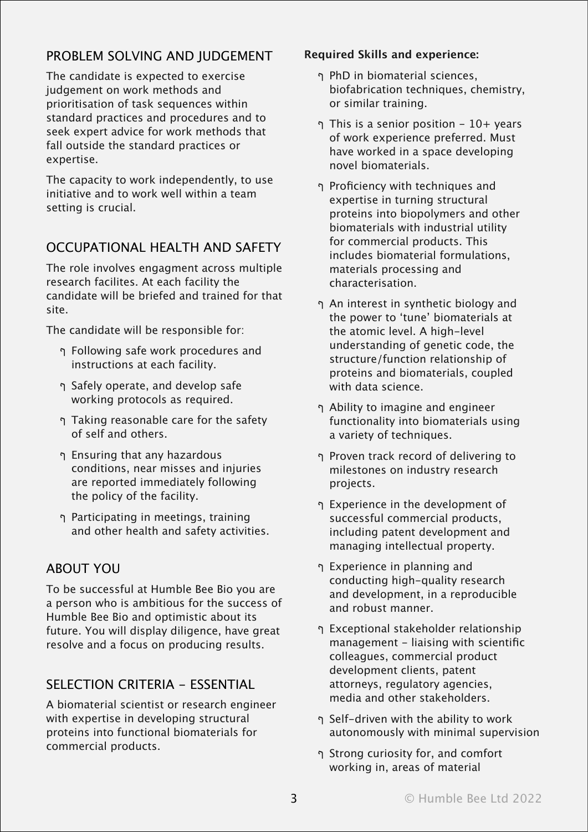# PROBLEM SOLVING AND JUDGEMENT

The candidate is expected to exercise judgement on work methods and prioritisation of task sequences within standard practices and procedures and to seek expert advice for work methods that fall outside the standard practices or expertise.

The capacity to work independently, to use initiative and to work well within a team setting is crucial.

### OCCUPATIONAL HEALTH AND SAFETY

The role involves engagment across multiple research facilites. At each facility the candidate will be briefed and trained for that site.

The candidate will be responsible for:

- ף Following safe work procedures and instructions at each facility.
- ף Safely operate, and develop safe working protocols as required.
- ף Taking reasonable care for the safety of self and others.
- ף Ensuring that any hazardous conditions, near misses and injuries are reported immediately following the policy of the facility.
- ף Participating in meetings, training and other health and safety activities.

### ABOUT YOU

To be successful at Humble Bee Bio you are a person who is ambitious for the success of Humble Bee Bio and optimistic about its future. You will display diligence, have great resolve and a focus on producing results.

#### SELECTION CRITERIA - ESSENTIAL

A biomaterial scientist or research engineer with expertise in developing structural proteins into functional biomaterials for commercial products.

#### **Required Skills and experience:**

- ף PhD in biomaterial sciences, biofabrication techniques, chemistry, or similar training.
- ף This is a senior position 10+ years of work experience preferred. Must have worked in a space developing novel biomaterials.
- ף Proficiency with techniques and expertise in turning structural proteins into biopolymers and other biomaterials with industrial utility for commercial products. This includes biomaterial formulations, materials processing and characterisation.
- ף An interest in synthetic biology and the power to ʻtune' biomaterials at the atomic level. A high-level understanding of genetic code, the structure/function relationship of proteins and biomaterials, coupled with data science.
- ף Ability to imagine and engineer functionality into biomaterials using a variety of techniques.
- ף Proven track record of delivering to milestones on industry research projects.
- ף Experience in the development of successful commercial products, including patent development and managing intellectual property.
- ף Experience in planning and conducting high-quality research and development, in a reproducible and robust manner.
- ף Exceptional stakeholder relationship management - liaising with scientific colleagues, commercial product development clients, patent attorneys, regulatory agencies, media and other stakeholders.
- ף Self-driven with the ability to work autonomously with minimal supervision
- ף Strong curiosity for, and comfort working in, areas of material